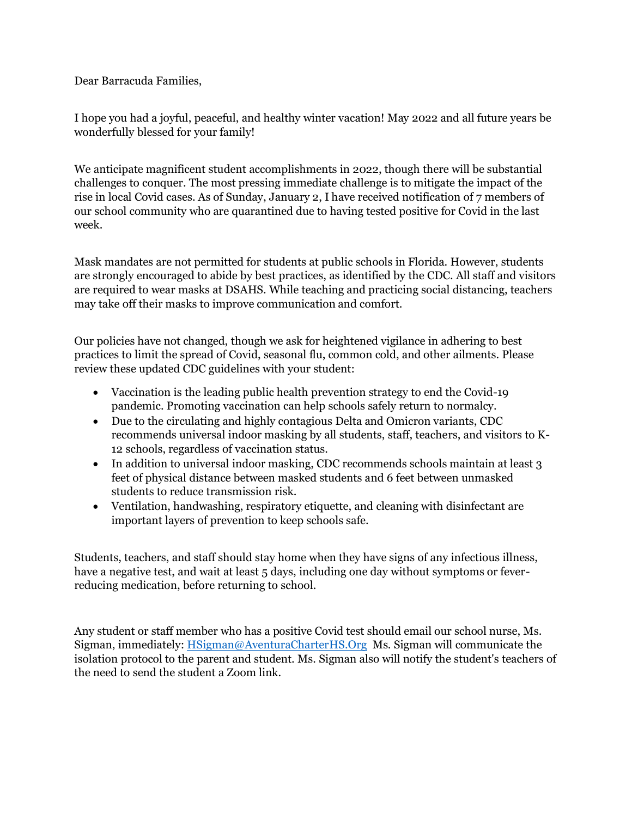Dear Barracuda Families,

I hope you had a joyful, peaceful, and healthy winter vacation! May 2022 and all future years be wonderfully blessed for your family!

We anticipate magnificent student accomplishments in 2022, though there will be substantial challenges to conquer. The most pressing immediate challenge is to mitigate the impact of the rise in local Covid cases. As of Sunday, January 2, I have received notification of 7 members of our school community who are quarantined due to having tested positive for Covid in the last week.

Mask mandates are not permitted for students at public schools in Florida. However, students are strongly encouraged to abide by best practices, as identified by the CDC. All staff and visitors are required to wear masks at DSAHS. While teaching and practicing social distancing, teachers may take off their masks to improve communication and comfort.

Our policies have not changed, though we ask for heightened vigilance in adhering to best practices to limit the spread of Covid, seasonal flu, common cold, and other ailments. Please review these updated CDC guidelines with your student:

- Vaccination is the leading public health prevention strategy to end the Covid-19 pandemic. Promoting vaccination can help schools safely return to normalcy.
- Due to the circulating and highly contagious Delta and Omicron variants, CDC recommends universal indoor masking by all students, staff, teachers, and visitors to K-12 schools, regardless of vaccination status.
- In addition to universal indoor masking, CDC recommends schools maintain at least 3 feet of physical distance between masked students and 6 feet between unmasked students to reduce transmission risk.
- Ventilation, handwashing, respiratory etiquette, and cleaning with disinfectant are important layers of prevention to keep schools safe.

Students, teachers, and staff should stay home when they have signs of any infectious illness, have a negative test, and wait at least 5 days, including one day without symptoms or feverreducing medication, before returning to school.

Any student or staff member who has a positive Covid test should email our school nurse, Ms. Sigman, immediately: [HSigman@AventuraCharterHS.Org](mailto:HSigman@AventuraCharterHS.Org) Ms. Sigman will communicate the isolation protocol to the parent and student. Ms. Sigman also will notify the student's teachers of the need to send the student a Zoom link.